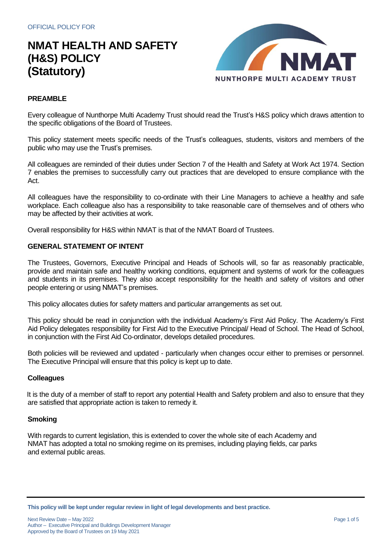

## **PREAMBLE**

Every colleague of Nunthorpe Multi Academy Trust should read the Trust's H&S policy which draws attention to the specific obligations of the Board of Trustees.

This policy statement meets specific needs of the Trust's colleagues, students, visitors and members of the public who may use the Trust's premises.

All colleagues are reminded of their duties under Section 7 of the Health and Safety at Work Act 1974. Section 7 enables the premises to successfully carry out practices that are developed to ensure compliance with the Act.

All colleagues have the responsibility to co-ordinate with their Line Managers to achieve a healthy and safe workplace. Each colleague also has a responsibility to take reasonable care of themselves and of others who may be affected by their activities at work.

Overall responsibility for H&S within NMAT is that of the NMAT Board of Trustees.

### **GENERAL STATEMENT OF INTENT**

The Trustees, Governors, Executive Principal and Heads of Schools will, so far as reasonably practicable, provide and maintain safe and healthy working conditions, equipment and systems of work for the colleagues and students in its premises. They also accept responsibility for the health and safety of visitors and other people entering or using NMAT's premises.

This policy allocates duties for safety matters and particular arrangements as set out.

This policy should be read in conjunction with the individual Academy's First Aid Policy. The Academy's First Aid Policy delegates responsibility for First Aid to the Executive Principal/ Head of School. The Head of School, in conjunction with the First Aid Co-ordinator, develops detailed procedures.

Both policies will be reviewed and updated - particularly when changes occur either to premises or personnel. The Executive Principal will ensure that this policy is kept up to date.

### **Colleagues**

It is the duty of a member of staff to report any potential Health and Safety problem and also to ensure that they are satisfied that appropriate action is taken to remedy it.

### **Smoking**

With regards to current legislation, this is extended to cover the whole site of each Academy and NMAT has adopted a total no smoking regime on its premises, including playing fields, car parks and external public areas.

**This policy will be kept under regular review in light of legal developments and best practice.**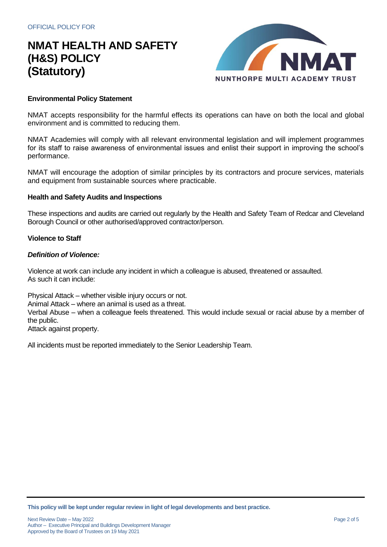

### **Environmental Policy Statement**

NMAT accepts responsibility for the harmful effects its operations can have on both the local and global environment and is committed to reducing them.

NMAT Academies will comply with all relevant environmental legislation and will implement programmes for its staff to raise awareness of environmental issues and enlist their support in improving the school's performance.

NMAT will encourage the adoption of similar principles by its contractors and procure services, materials and equipment from sustainable sources where practicable.

### **Health and Safety Audits and Inspections**

These inspections and audits are carried out regularly by the Health and Safety Team of Redcar and Cleveland Borough Council or other authorised/approved contractor/person.

### **Violence to Staff**

#### *Definition of Violence:*

Violence at work can include any incident in which a colleague is abused, threatened or assaulted. As such it can include:

Physical Attack – whether visible injury occurs or not.

Animal Attack – where an animal is used as a threat.

Verbal Abuse – when a colleague feels threatened. This would include sexual or racial abuse by a member of the public.

Attack against property.

All incidents must be reported immediately to the Senior Leadership Team.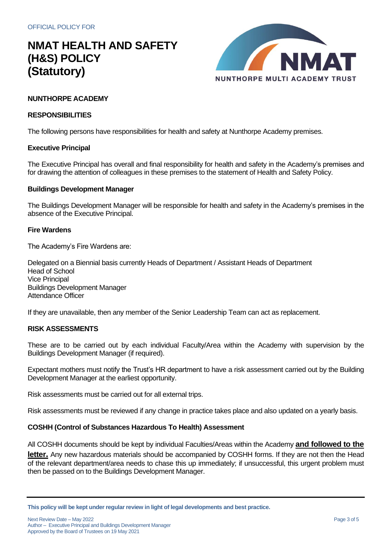

## **NUNTHORPE ACADEMY**

## **RESPONSIBILITIES**

The following persons have responsibilities for health and safety at Nunthorpe Academy premises.

### **Executive Principal**

The Executive Principal has overall and final responsibility for health and safety in the Academy's premises and for drawing the attention of colleagues in these premises to the statement of Health and Safety Policy.

### **Buildings Development Manager**

The Buildings Development Manager will be responsible for health and safety in the Academy's premises in the absence of the Executive Principal.

### **Fire Wardens**

The Academy's Fire Wardens are:

Delegated on a Biennial basis currently Heads of Department / Assistant Heads of Department Head of School Vice Principal Buildings Development Manager Attendance Officer

If they are unavailable, then any member of the Senior Leadership Team can act as replacement.

## **RISK ASSESSMENTS**

These are to be carried out by each individual Faculty/Area within the Academy with supervision by the Buildings Development Manager (if required).

Expectant mothers must notify the Trust's HR department to have a risk assessment carried out by the Building Development Manager at the earliest opportunity.

Risk assessments must be carried out for all external trips.

Risk assessments must be reviewed if any change in practice takes place and also updated on a yearly basis.

## **COSHH (Control of Substances Hazardous To Health) Assessment**

All COSHH documents should be kept by individual Faculties/Areas within the Academy **and followed to the letter.** Any new hazardous materials should be accompanied by COSHH forms. If they are not then the Head of the relevant department/area needs to chase this up immediately; if unsuccessful, this urgent problem must then be passed on to the Buildings Development Manager.

**This policy will be kept under regular review in light of legal developments and best practice.**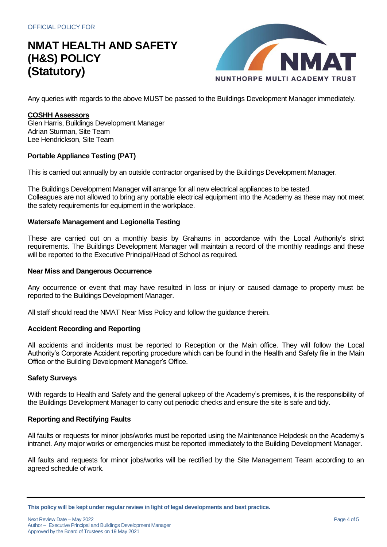

Any queries with regards to the above MUST be passed to the Buildings Development Manager immediately.

### **COSHH Assessors**

Glen Harris, Buildings Development Manager Adrian Sturman, Site Team Lee Hendrickson, Site Team

## **Portable Appliance Testing (PAT)**

This is carried out annually by an outside contractor organised by the Buildings Development Manager.

The Buildings Development Manager will arrange for all new electrical appliances to be tested. Colleagues are not allowed to bring any portable electrical equipment into the Academy as these may not meet the safety requirements for equipment in the workplace.

### **Watersafe Management and Legionella Testing**

These are carried out on a monthly basis by Grahams in accordance with the Local Authority's strict requirements. The Buildings Development Manager will maintain a record of the monthly readings and these will be reported to the Executive Principal/Head of School as required.

### **Near Miss and Dangerous Occurrence**

Any occurrence or event that may have resulted in loss or injury or caused damage to property must be reported to the Buildings Development Manager.

All staff should read the NMAT Near Miss Policy and follow the guidance therein.

## **Accident Recording and Reporting**

All accidents and incidents must be reported to Reception or the Main office. They will follow the Local Authority's Corporate Accident reporting procedure which can be found in the Health and Safety file in the Main Office or the Building Development Manager's Office.

## **Safety Surveys**

With regards to Health and Safety and the general upkeep of the Academy's premises, it is the responsibility of the Buildings Development Manager to carry out periodic checks and ensure the site is safe and tidy.

### **Reporting and Rectifying Faults**

All faults or requests for minor jobs/works must be reported using the Maintenance Helpdesk on the Academy's intranet. Any major works or emergencies must be reported immediately to the Building Development Manager.

All faults and requests for minor jobs/works will be rectified by the Site Management Team according to an agreed schedule of work.

**This policy will be kept under regular review in light of legal developments and best practice.**